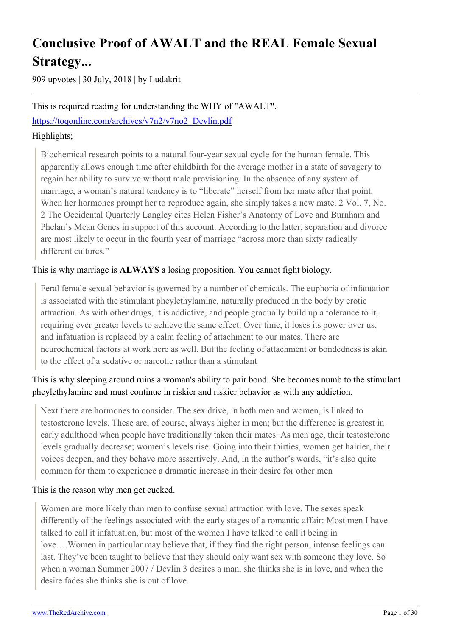# **Conclusive Proof of AWALT and the REAL Female Sexual Strategy...**

909 upvotes | 30 July, 2018 | by Ludakrit

### This is required reading for understanding the WHY of "AWALT".

[https://toqonline.com/archives/v7n2/v7no2\\_Devlin.pdf](https://toqonline.com/archives/v7n2/v7no2_Devlin.pdf)

### Highlights;

Biochemical research points to a natural four-year sexual cycle for the human female. This apparently allows enough time after childbirth for the average mother in a state of savagery to regain her ability to survive without male provisioning. In the absence of any system of marriage, a woman's natural tendency is to "liberate" herself from her mate after that point. When her hormones prompt her to reproduce again, she simply takes a new mate. 2 Vol. 7, No. 2 The Occidental Quarterly Langley cites Helen Fisher's Anatomy of Love and Burnham and Phelan's Mean Genes in support of this account. According to the latter, separation and divorce are most likely to occur in the fourth year of marriage "across more than sixty radically different cultures."

### This is why marriage is **ALWAYS** a losing proposition. You cannot fight biology.

Feral female sexual behavior is governed by a number of chemicals. The euphoria of infatuation is associated with the stimulant pheylethylamine, naturally produced in the body by erotic attraction. As with other drugs, it is addictive, and people gradually build up a tolerance to it, requiring ever greater levels to achieve the same effect. Over time, it loses its power over us, and infatuation is replaced by a calm feeling of attachment to our mates. There are neurochemical factors at work here as well. But the feeling of attachment or bondedness is akin to the effect of a sedative or narcotic rather than a stimulant

### This is why sleeping around ruins a woman's ability to pair bond. She becomes numb to the stimulant pheylethylamine and must continue in riskier and riskier behavior as with any addiction.

Next there are hormones to consider. The sex drive, in both men and women, is linked to testosterone levels. These are, of course, always higher in men; but the difference is greatest in early adulthood when people have traditionally taken their mates. As men age, their testosterone levels gradually decrease; women's levels rise. Going into their thirties, women get hairier, their voices deepen, and they behave more assertively. And, in the author's words, "it's also quite common for them to experience a dramatic increase in their desire for other men

### This is the reason why men get cucked.

Women are more likely than men to confuse sexual attraction with love. The sexes speak differently of the feelings associated with the early stages of a romantic affair: Most men I have talked to call it infatuation, but most of the women I have talked to call it being in love….Women in particular may believe that, if they find the right person, intense feelings can last. They've been taught to believe that they should only want sex with someone they love. So when a woman Summer 2007 / Devlin 3 desires a man, she thinks she is in love, and when the desire fades she thinks she is out of love.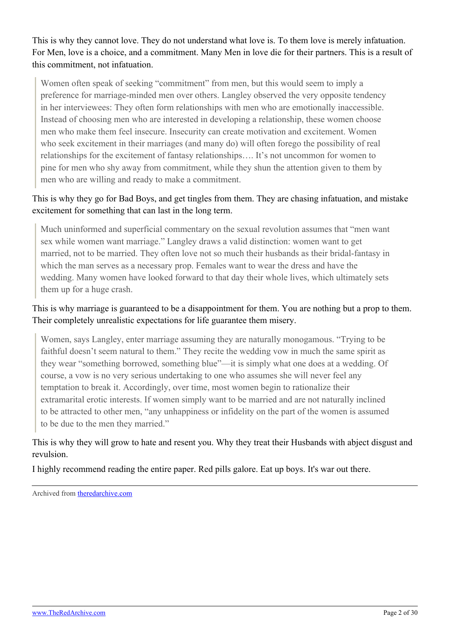This is why they cannot love. They do not understand what love is. To them love is merely infatuation. For Men, love is a choice, and a commitment. Many Men in love die for their partners. This is a result of this commitment, not infatuation.

Women often speak of seeking "commitment" from men, but this would seem to imply a preference for marriage-minded men over others. Langley observed the very opposite tendency in her interviewees: They often form relationships with men who are emotionally inaccessible. Instead of choosing men who are interested in developing a relationship, these women choose men who make them feel insecure. Insecurity can create motivation and excitement. Women who seek excitement in their marriages (and many do) will often forego the possibility of real relationships for the excitement of fantasy relationships…. It's not uncommon for women to pine for men who shy away from commitment, while they shun the attention given to them by men who are willing and ready to make a commitment.

### This is why they go for Bad Boys, and get tingles from them. They are chasing infatuation, and mistake excitement for something that can last in the long term.

Much uninformed and superficial commentary on the sexual revolution assumes that "men want sex while women want marriage." Langley draws a valid distinction: women want to get married, not to be married. They often love not so much their husbands as their bridal-fantasy in which the man serves as a necessary prop. Females want to wear the dress and have the wedding. Many women have looked forward to that day their whole lives, which ultimately sets them up for a huge crash.

### This is why marriage is guaranteed to be a disappointment for them. You are nothing but a prop to them. Their completely unrealistic expectations for life guarantee them misery.

Women, says Langley, enter marriage assuming they are naturally monogamous. "Trying to be faithful doesn't seem natural to them." They recite the wedding vow in much the same spirit as they wear "something borrowed, something blue"—it is simply what one does at a wedding. Of course, a vow is no very serious undertaking to one who assumes she will never feel any temptation to break it. Accordingly, over time, most women begin to rationalize their extramarital erotic interests. If women simply want to be married and are not naturally inclined to be attracted to other men, "any unhappiness or infidelity on the part of the women is assumed to be due to the men they married."

### This is why they will grow to hate and resent you. Why they treat their Husbands with abject disgust and revulsion.

I highly recommend reading the entire paper. Red pills galore. Eat up boys. It's war out there.

Archived from [theredarchive.com](https://theredarchive.com/r/MGTOW/conclusive-proof-of-awalt-and-the-real-female.517151)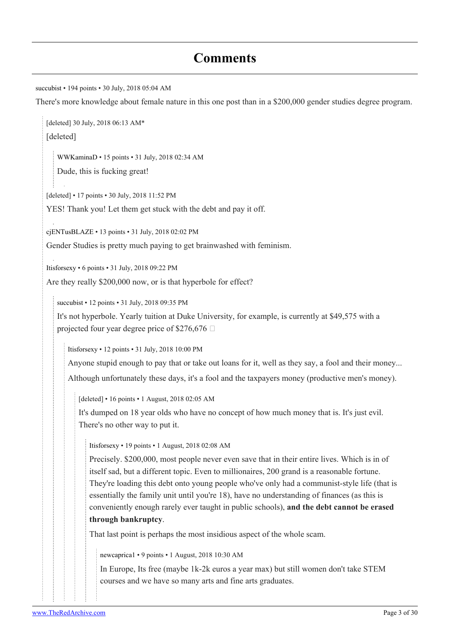## **Comments**

[succubist](https://old.reddit.com/user/succubist) • 194 points • 30 July, 2018 05:04 AM There's more knowledge about female nature in this one post than in a \$200,000 gender studies degree program. [deleted] 30 July, 2018 06:13 AM\* [deleted] [WWKaminaD](https://old.reddit.com/user/WWKaminaD) • 15 points • 31 July, 2018 02:34 AM Dude, this is fucking great! [deleted] • 17 points • 30 July, 2018 11:52 PM YES! Thank you! Let them get stuck with the debt and pay it off. [cjENTusBLAZE](https://old.reddit.com/user/cjENTusBLAZE) • 13 points • 31 July, 2018 02:02 PM Gender Studies is pretty much paying to get brainwashed with feminism. [Itisforsexy](https://old.reddit.com/user/Itisforsexy) • 6 points • 31 July, 2018 09:22 PM Are they really \$200,000 now, or is that hyperbole for effect? [succubist](https://old.reddit.com/user/succubist) • 12 points • 31 July, 2018 09:35 PM It's not hyperbole. Yearly tuition at Duke University, for example, is currently at \$49,575 with a projected four year degree price of \$276,676  $\Box$ [Itisforsexy](https://old.reddit.com/user/Itisforsexy) • 12 points • 31 July, 2018 10:00 PM Anyone stupid enough to pay that or take out loans for it, well as they say, a fool and their money... Although unfortunately these days, it's a fool and the taxpayers money (productive men's money). [deleted] • 16 points • 1 August, 2018 02:05 AM It's dumped on 18 year olds who have no concept of how much money that is. It's just evil. There's no other way to put it. [Itisforsexy](https://old.reddit.com/user/Itisforsexy) • 19 points • 1 August, 2018 02:08 AM Precisely. \$200,000, most people never even save that in their entire lives. Which is in of itself sad, but a different topic. Even to millionaires, 200 grand is a reasonable fortune. They're loading this debt onto young people who've only had a communist-style life (that is essentially the family unit until you're 18), have no understanding of finances (as this is conveniently enough rarely ever taught in public schools), **and the debt cannot be erased through bankruptcy**. That last point is perhaps the most insidious aspect of the whole scam. [newcaprica1](https://old.reddit.com/user/newcaprica1) • 9 points • 1 August, 2018 10:30 AM In Europe, Its free (maybe 1k-2k euros a year max) but still women don't take STEM courses and we have so many arts and fine arts graduates.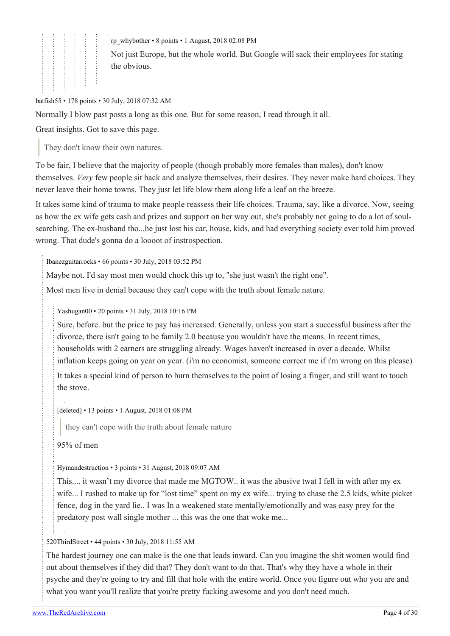[rp\\_whybother](https://old.reddit.com/user/rp_whybother) • 8 points • 1 August, 2018 02:08 PM

Not just Europe, but the whole world. But Google will sack their employees for stating the obvious.

#### [batfish55](https://old.reddit.com/user/batfish55) • 178 points • 30 July, 2018 07:32 AM

Normally I blow past posts a long as this one. But for some reason, I read through it all.

Great insights. Got to save this page.

They don't know their own natures.

To be fair, I believe that the majority of people (though probably more females than males), don't know themselves. *Very* few people sit back and analyze themselves, their desires. They never make hard choices. They never leave their home towns. They just let life blow them along life a leaf on the breeze.

It takes some kind of trauma to make people reassess their life choices. Trauma, say, like a divorce. Now, seeing as how the ex wife gets cash and prizes and support on her way out, she's probably not going to do a lot of soulsearching. The ex-husband tho...he just lost his car, house, kids, and had everything society ever told him proved wrong. That dude's gonna do a loooot of instrospection.

[Ibanezguitarrocks](https://old.reddit.com/user/Ibanezguitarrocks) • 66 points • 30 July, 2018 03:52 PM

Maybe not. I'd say most men would chock this up to, "she just wasn't the right one".

Most men live in denial because they can't cope with the truth about female nature.

[Yashugan00](https://old.reddit.com/user/Yashugan00) • 20 points • 31 July, 2018 10:16 PM

Sure, before. but the price to pay has increased. Generally, unless you start a successful business after the divorce, there isn't going to be family 2.0 because you wouldn't have the means. In recent times, households with 2 earners are struggling already. Wages haven't increased in over a decade. Whilst inflation keeps going on year on year. (i'm no economist, someone correct me if i'm wrong on this please)

It takes a special kind of person to burn themselves to the point of losing a finger, and still want to touch the stove.

[deleted] • 13 points • 1 August, 2018 01:08 PM

they can't cope with the truth about female nature

95% of men

[Hymandestruction](https://old.reddit.com/user/Hymandestruction) • 3 points • 31 August, 2018 09:07 AM

This.... it wasn't my divorce that made me MGTOW.. it was the abusive twat I fell in with after my ex wife... I rushed to make up for "lost time" spent on my ex wife... trying to chase the 2.5 kids, white picket fence, dog in the yard lie.. I was In a weakened state mentally/emotionally and was easy prey for the predatory post wall single mother ... this was the one that woke me...

#### [520ThirdStreet](https://old.reddit.com/user/520ThirdStreet) • 44 points • 30 July, 2018 11:55 AM

The hardest journey one can make is the one that leads inward. Can you imagine the shit women would find out about themselves if they did that? They don't want to do that. That's why they have a whole in their psyche and they're going to try and fill that hole with the entire world. Once you figure out who you are and what you want you'll realize that you're pretty fucking awesome and you don't need much.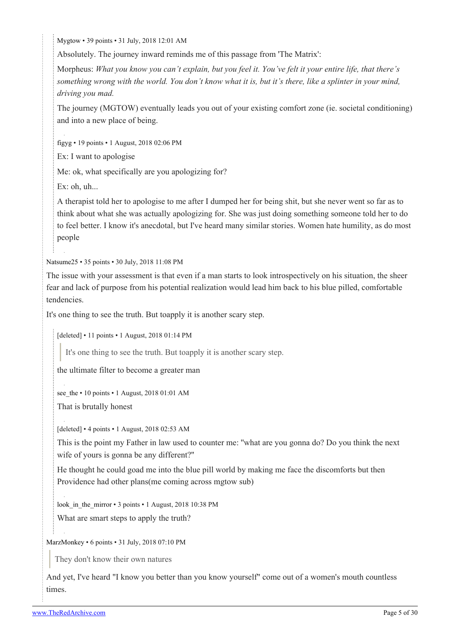[Mygtow](https://old.reddit.com/user/Mygtow) • 39 points • 31 July, 2018 12:01 AM

Absolutely. The journey inward reminds me of this passage from 'The Matrix':

Morpheus: *What you know you can't explain, but you feel it. You've felt it your entire life, that there's something wrong with the world. You don't know what it is, but it's there, like a splinter in your mind, driving you mad.*

The journey (MGTOW) eventually leads you out of your existing comfort zone (ie. societal conditioning) and into a new place of being.

[figyg](https://old.reddit.com/user/figyg) • 19 points • 1 August, 2018 02:06 PM

Ex: I want to apologise

Me: ok, what specifically are you apologizing for?

Ex: oh, uh...

A therapist told her to apologise to me after I dumped her for being shit, but she never went so far as to think about what she was actually apologizing for. She was just doing something someone told her to do to feel better. I know it's anecdotal, but I've heard many similar stories. Women hate humility, as do most people

[Natsume25](https://old.reddit.com/user/Natsume25) • 35 points • 30 July, 2018 11:08 PM

The issue with your assessment is that even if a man starts to look introspectively on his situation, the sheer fear and lack of purpose from his potential realization would lead him back to his blue pilled, comfortable tendencies.

It's one thing to see the truth. But toapply it is another scary step.

[deleted] • 11 points • 1 August, 2018 01:14 PM

It's one thing to see the truth. But toapply it is another scary step.

the ultimate filter to become a greater man

see the  $\cdot$  10 points  $\cdot$  1 August, 2018 01:01 AM

That is brutally honest

[deleted] • 4 points • 1 August, 2018 02:53 AM

This is the point my Father in law used to counter me: ''what are you gonna do? Do you think the next wife of yours is gonna be any different?''

He thought he could goad me into the blue pill world by making me face the discomforts but then Providence had other plans(me coming across mgtow sub)

look in the mirror • 3 points • 1 August, 2018 10:38 PM

What are smart steps to apply the truth?

[MarzMonkey](https://old.reddit.com/user/MarzMonkey) • 6 points • 31 July, 2018 07:10 PM

They don't know their own natures

And yet, I've heard "I know you better than you know yourself" come out of a women's mouth countless times.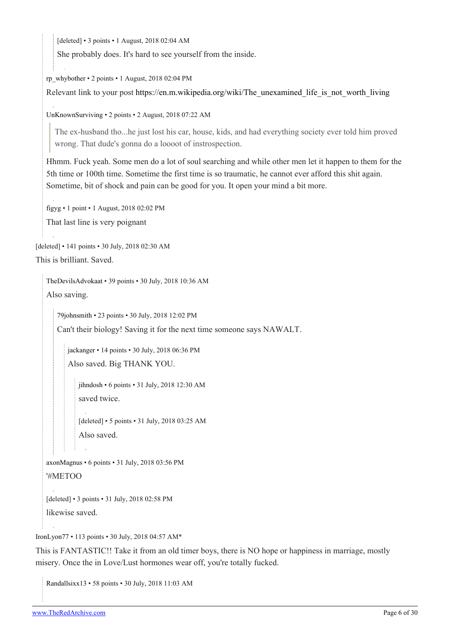[deleted] • 3 points • 1 August, 2018 02:04 AM

She probably does. It's hard to see yourself from the inside.

[rp\\_whybother](https://old.reddit.com/user/rp_whybother) • 2 points • 1 August, 2018 02:04 PM

Relevant link to your post [https://en.m.wikipedia.org/wiki/The\\_unexamined\\_life\\_is\\_not\\_worth\\_living](https://en.m.wikipedia.org/wiki/The_unexamined_life_is_not_worth_living)

[UnKnownSurviving](https://old.reddit.com/user/UnKnownSurviving) • 2 points • 2 August, 2018 07:22 AM

The ex-husband tho...he just lost his car, house, kids, and had everything society ever told him proved wrong. That dude's gonna do a loooot of instrospection.

Hhmm. Fuck yeah. Some men do a lot of soul searching and while other men let it happen to them for the 5th time or 100th time. Sometime the first time is so traumatic, he cannot ever afford this shit again. Sometime, bit of shock and pain can be good for you. It open your mind a bit more.

[figyg](https://old.reddit.com/user/figyg) • 1 point • 1 August, 2018 02:02 PM That last line is very poignant

[deleted] • 141 points • 30 July, 2018 02:30 AM

```
This is brilliant. Saved.
```
[TheDevilsAdvokaat](https://old.reddit.com/user/TheDevilsAdvokaat) • 39 points • 30 July, 2018 10:36 AM Also saving.

[79johnsmith](https://old.reddit.com/user/79johnsmith) • 23 points • 30 July, 2018 12:02 PM

Can't their biology! Saving it for the next time someone says NAWALT.

[jackanger](https://old.reddit.com/user/jackanger) • 14 points • 30 July, 2018 06:36 PM Also saved. Big THANK YOU.

[jihndosh](https://old.reddit.com/user/jihndosh) • 6 points • 31 July, 2018 12:30 AM saved twice.

[deleted] • 5 points • 31 July, 2018 03:25 AM Also saved.

[axonMagnus](https://old.reddit.com/user/axonMagnus) • 6 points • 31 July, 2018 03:56 PM '#METOO

[deleted] • 3 points • 31 July, 2018 02:58 PM likewise saved.

[IronLyon77](https://old.reddit.com/user/IronLyon77) • 113 points • 30 July, 2018 04:57 AM\*

This is FANTASTIC!! Take it from an old timer boys, there is NO hope or happiness in marriage, mostly misery. Once the in Love/Lust hormones wear off, you're totally fucked.

[Randallsixx13](https://old.reddit.com/user/Randallsixx13) • 58 points • 30 July, 2018 11:03 AM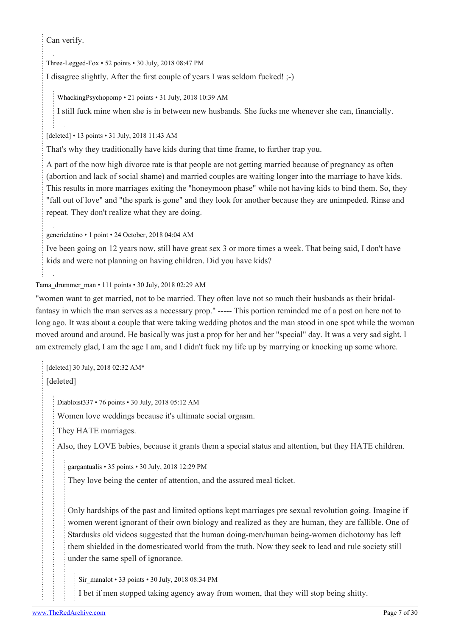Can verify.

[Three-Legged-Fox](https://old.reddit.com/user/Three-Legged-Fox) • 52 points • 30 July, 2018 08:47 PM

I disagree slightly. After the first couple of years I was seldom fucked! ;-)

[WhackingPsychopomp](https://old.reddit.com/user/WhackingPsychopomp) • 21 points • 31 July, 2018 10:39 AM

I still fuck mine when she is in between new husbands. She fucks me whenever she can, financially.

[deleted] • 13 points • 31 July, 2018 11:43 AM

That's why they traditionally have kids during that time frame, to further trap you.

A part of the now high divorce rate is that people are not getting married because of pregnancy as often (abortion and lack of social shame) and married couples are waiting longer into the marriage to have kids. This results in more marriages exiting the "honeymoon phase" while not having kids to bind them. So, they "fall out of love" and "the spark is gone" and they look for another because they are unimpeded. Rinse and repeat. They don't realize what they are doing.

[genericlatino](https://old.reddit.com/user/genericlatino) • 1 point • 24 October, 2018 04:04 AM

Ive been going on 12 years now, still have great sex 3 or more times a week. That being said, I don't have kids and were not planning on having children. Did you have kids?

#### [Tama\\_drummer\\_man](https://old.reddit.com/user/Tama_drummer_man) • 111 points • 30 July, 2018 02:29 AM

"women want to get married, not to be married. They often love not so much their husbands as their bridalfantasy in which the man serves as a necessary prop." ----- This portion reminded me of a post on here not to long ago. It was about a couple that were taking wedding photos and the man stood in one spot while the woman moved around and around. He basically was just a prop for her and her "special" day. It was a very sad sight. I am extremely glad, I am the age I am, and I didn't fuck my life up by marrying or knocking up some whore.

[deleted] 30 July, 2018 02:32 AM\* [deleted]

[Diabloist337](https://old.reddit.com/user/Diabloist337) • 76 points • 30 July, 2018 05:12 AM

Women love weddings because it's ultimate social orgasm.

They HATE marriages.

Also, they LOVE babies, because it grants them a special status and attention, but they HATE children.

[gargantualis](https://old.reddit.com/user/gargantualis) • 35 points • 30 July, 2018 12:29 PM

They love being the center of attention, and the assured meal ticket.

Only hardships of the past and limited options kept marriages pre sexual revolution going. Imagine if women werent ignorant of their own biology and realized as they are human, they are fallible. One of Stardusks old videos suggested that the human doing-men/human being-women dichotomy has left them shielded in the domesticated world from the truth. Now they seek to lead and rule society still under the same spell of ignorance.

[Sir\\_manalot](https://old.reddit.com/user/Sir_manalot) • 33 points • 30 July, 2018 08:34 PM

I bet if men stopped taking agency away from women, that they will stop being shitty.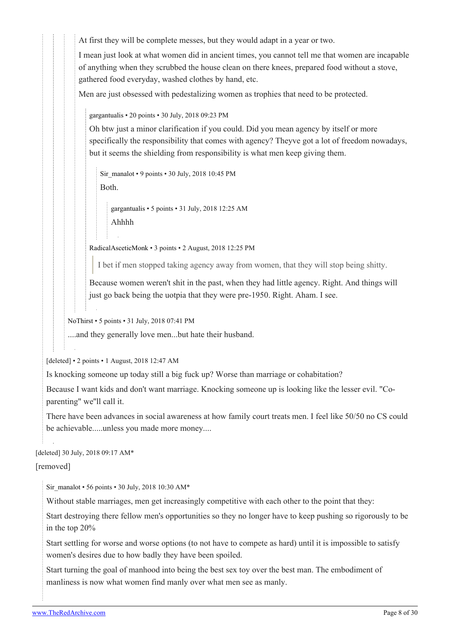At first they will be complete messes, but they would adapt in a year or two.

I mean just look at what women did in ancient times, you cannot tell me that women are incapable of anything when they scrubbed the house clean on there knees, prepared food without a stove, gathered food everyday, washed clothes by hand, etc.

Men are just obsessed with pedestalizing women as trophies that need to be protected.

[gargantualis](https://old.reddit.com/user/gargantualis) • 20 points • 30 July, 2018 09:23 PM

Oh btw just a minor clarification if you could. Did you mean agency by itself or more specifically the responsibility that comes with agency? Theyve got a lot of freedom nowadays, but it seems the shielding from responsibility is what men keep giving them.

[Sir\\_manalot](https://old.reddit.com/user/Sir_manalot) • 9 points • 30 July, 2018 10:45 PM Both.

[gargantualis](https://old.reddit.com/user/gargantualis) • 5 points • 31 July, 2018 12:25 AM Ahhhh

[RadicalAsceticMonk](https://old.reddit.com/user/RadicalAsceticMonk) • 3 points • 2 August, 2018 12:25 PM

I bet if men stopped taking agency away from women, that they will stop being shitty.

Because women weren't shit in the past, when they had little agency. Right. And things will just go back being the uotpia that they were pre-1950. Right. Aham. I see.

[NoThirst](https://old.reddit.com/user/NoThirst) • 5 points • 31 July, 2018 07:41 PM

....and they generally love men...but hate their husband.

[deleted] • 2 points • 1 August, 2018 12:47 AM

Is knocking someone up today still a big fuck up? Worse than marriage or cohabitation?

Because I want kids and don't want marriage. Knocking someone up is looking like the lesser evil. "Coparenting" we''ll call it.

There have been advances in social awareness at how family court treats men. I feel like 50/50 no CS could be achievable.....unless you made more money....

[deleted] 30 July, 2018 09:17 AM\*

[removed]

[Sir\\_manalot](https://old.reddit.com/user/Sir_manalot) • 56 points • 30 July, 2018 10:30 AM\*

Without stable marriages, men get increasingly competitive with each other to the point that they:

Start destroying there fellow men's opportunities so they no longer have to keep pushing so rigorously to be in the top 20%

Start settling for worse and worse options (to not have to compete as hard) until it is impossible to satisfy women's desires due to how badly they have been spoiled.

Start turning the goal of manhood into being the best sex toy over the best man. The embodiment of manliness is now what women find manly over what men see as manly.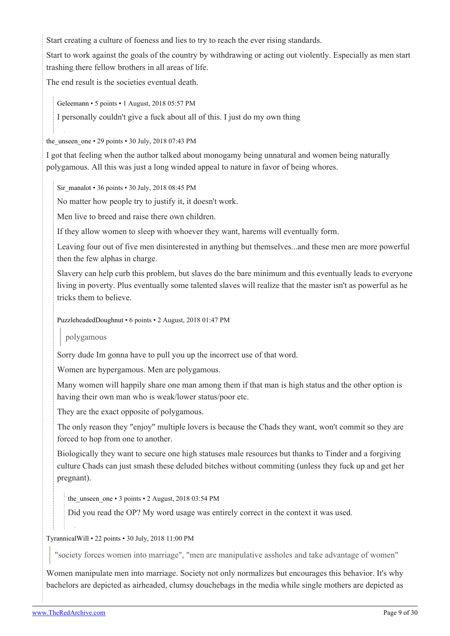Start creating a culture of foeness and lies to try to reach the ever rising standards.

Start to work against the goals of the country by withdrawing or acting out violently. Especially as men start trashing there fellow brothers in all areas of life.

The end result is the societies eventual death.

[Geleemann](https://old.reddit.com/user/Geleemann) • 5 points • 1 August, 2018 05:57 PM

I personally couldn't give a fuck about all of this. I just do my own thing

the unseen one  $\cdot$  29 points  $\cdot$  30 July, 2018 07:43 PM

I got that feeling when the author talked about monogamy being unnatural and women being naturally polygamous. All this was just a long winded appeal to nature in favor of being whores.

[Sir\\_manalot](https://old.reddit.com/user/Sir_manalot) • 36 points • 30 July, 2018 08:45 PM

No matter how people try to justify it, it doesn't work.

Men live to breed and raise there own children.

If they allow women to sleep with whoever they want, harems will eventually form.

Leaving four out of five men disinterested in anything but themselves...and these men are more powerful then the few alphas in charge.

Slavery can help curb this problem, but slaves do the bare minimum and this eventually leads to everyone living in poverty. Plus eventually some talented slaves will realize that the master isn't as powerful as he tricks them to believe.

[PuzzleheadedDoughnut](https://old.reddit.com/user/PuzzleheadedDoughnut) • 6 points • 2 August, 2018 01:47 PM

#### polygamous

Sorry dude Im gonna have to pull you up the incorrect use of that word.

Women are hypergamous. Men are polygamous.

Many women will happily share one man among them if that man is high status and the other option is having their own man who is weak/lower status/poor etc.

They are the exact opposite of polygamous.

The only reason they "enjoy" multiple lovers is because the Chads they want, won't commit so they are forced to hop from one to another.

Biologically they want to secure one high statuses male resources but thanks to Tinder and a forgiving culture Chads can just smash these deluded bitches without commiting (unless they fuck up and get her pregnant).

the unseen one  $\cdot$  3 points  $\cdot$  2 August, 2018 03:54 PM

Did you read the OP? My word usage was entirely correct in the context it was used.

#### [TyrannicalWill](https://old.reddit.com/user/TyrannicalWill) • 22 points • 30 July, 2018 11:00 PM

"society forces women into marriage", "men are manipulative assholes and take advantage of women"

Women manipulate men into marriage. Society not only normalizes but encourages this behavior. It's why bachelors are depicted as airheaded, clumsy douchebags in the media while single mothers are depicted as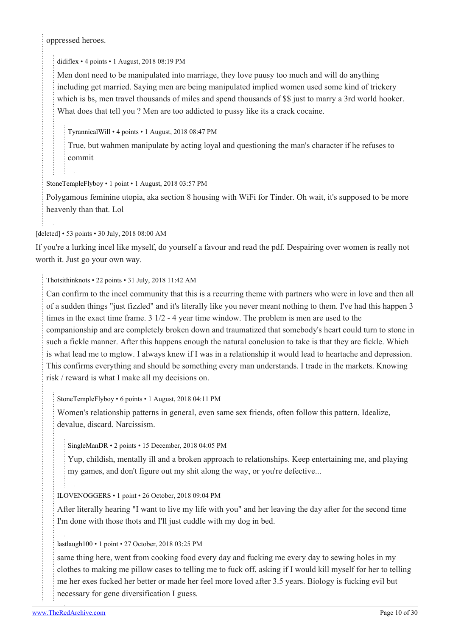oppressed heroes.

[didiflex](https://old.reddit.com/user/didiflex) • 4 points • 1 August, 2018 08:19 PM

Men dont need to be manipulated into marriage, they love puusy too much and will do anything including get married. Saying men are being manipulated implied women used some kind of trickery which is bs, men travel thousands of miles and spend thousands of \$\$ just to marry a 3rd world hooker. What does that tell you ? Men are too addicted to pussy like its a crack cocaine.

[TyrannicalWill](https://old.reddit.com/user/TyrannicalWill) • 4 points • 1 August, 2018 08:47 PM

True, but wahmen manipulate by acting loyal and questioning the man's character if he refuses to commit

#### [StoneTempleFlyboy](https://old.reddit.com/user/StoneTempleFlyboy) • 1 point • 1 August, 2018 03:57 PM

Polygamous feminine utopia, aka section 8 housing with WiFi for Tinder. Oh wait, it's supposed to be more heavenly than that. Lol

[deleted] • 53 points • 30 July, 2018 08:00 AM

If you're a lurking incel like myself, do yourself a favour and read the pdf. Despairing over women is really not worth it. Just go your own way.

#### [Thotsithinknots](https://old.reddit.com/user/Thotsithinknots) • 22 points • 31 July, 2018 11:42 AM

Can confirm to the incel community that this is a recurring theme with partners who were in love and then all of a sudden things "just fizzled" and it's literally like you never meant nothing to them. I've had this happen 3 times in the exact time frame. 3 1/2 - 4 year time window. The problem is men are used to the companionship and are completely broken down and traumatized that somebody's heart could turn to stone in such a fickle manner. After this happens enough the natural conclusion to take is that they are fickle. Which is what lead me to mgtow. I always knew if I was in a relationship it would lead to heartache and depression. This confirms everything and should be something every man understands. I trade in the markets. Knowing risk / reward is what I make all my decisions on.

[StoneTempleFlyboy](https://old.reddit.com/user/StoneTempleFlyboy) • 6 points • 1 August, 2018 04:11 PM

Women's relationship patterns in general, even same sex friends, often follow this pattern. Idealize, devalue, discard. Narcissism.

[SingleManDR](https://old.reddit.com/user/SingleManDR) • 2 points • 15 December, 2018 04:05 PM

Yup, childish, mentally ill and a broken approach to relationships. Keep entertaining me, and playing my games, and don't figure out my shit along the way, or you're defective...

#### [ILOVENOGGERS](https://old.reddit.com/user/ILOVENOGGERS) • 1 point • 26 October, 2018 09:04 PM

After literally hearing "I want to live my life with you" and her leaving the day after for the second time I'm done with those thots and I'll just cuddle with my dog in bed.

#### [lastlaugh100](https://old.reddit.com/user/lastlaugh100) • 1 point • 27 October, 2018 03:25 PM

same thing here, went from cooking food every day and fucking me every day to sewing holes in my clothes to making me pillow cases to telling me to fuck off, asking if I would kill myself for her to telling me her exes fucked her better or made her feel more loved after 3.5 years. Biology is fucking evil but necessary for gene diversification I guess.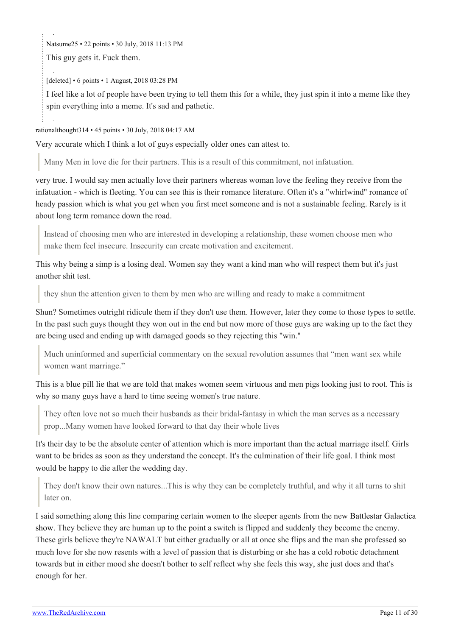[Natsume25](https://old.reddit.com/user/Natsume25) • 22 points • 30 July, 2018 11:13 PM

This guy gets it. Fuck them.

[deleted] • 6 points • 1 August, 2018 03:28 PM

I feel like a lot of people have been trying to tell them this for a while, they just spin it into a meme like they spin everything into a meme. It's sad and pathetic.

[rationalthought314](https://old.reddit.com/user/rationalthought314) • 45 points • 30 July, 2018 04:17 AM

Very accurate which I think a lot of guys especially older ones can attest to.

Many Men in love die for their partners. This is a result of this commitment, not infatuation.

very true. I would say men actually love their partners whereas woman love the feeling they receive from the infatuation - which is fleeting. You can see this is their romance literature. Often it's a "whirlwind" romance of heady passion which is what you get when you first meet someone and is not a sustainable feeling. Rarely is it about long term romance down the road.

Instead of choosing men who are interested in developing a relationship, these women choose men who make them feel insecure. Insecurity can create motivation and excitement.

This why being a simp is a losing deal. Women say they want a kind man who will respect them but it's just another shit test.

they shun the attention given to them by men who are willing and ready to make a commitment

Shun? Sometimes outright ridicule them if they don't use them. However, later they come to those types to settle. In the past such guys thought they won out in the end but now more of those guys are waking up to the fact they are being used and ending up with damaged goods so they rejecting this "win."

Much uninformed and superficial commentary on the sexual revolution assumes that "men want sex while women want marriage."

This is a blue pill lie that we are told that makes women seem virtuous and men pigs looking just to root. This is why so many guys have a hard to time seeing women's true nature.

They often love not so much their husbands as their bridal-fantasy in which the man serves as a necessary prop...Many women have looked forward to that day their whole lives

It's their day to be the absolute center of attention which is more important than the actual marriage itself. Girls want to be brides as soon as they understand the concept. It's the culmination of their life goal. I think most would be happy to die after the wedding day.

They don't know their own natures...This is why they can be completely truthful, and why it all turns to shit later on.

I said something along this line comparing certain women to the sleeper agents from the new [Battlestar Galactica](https://old.reddit.com/r/MGTOW/comments/92pado/women_be_cylons_boys_run/) [show](https://old.reddit.com/r/MGTOW/comments/92pado/women_be_cylons_boys_run/). They believe they are human up to the point a switch is flipped and suddenly they become the enemy. These girls believe they're NAWALT but either gradually or all at once she flips and the man she professed so much love for she now resents with a level of passion that is disturbing or she has a cold robotic detachment towards but in either mood she doesn't bother to self reflect why she feels this way, she just does and that's enough for her.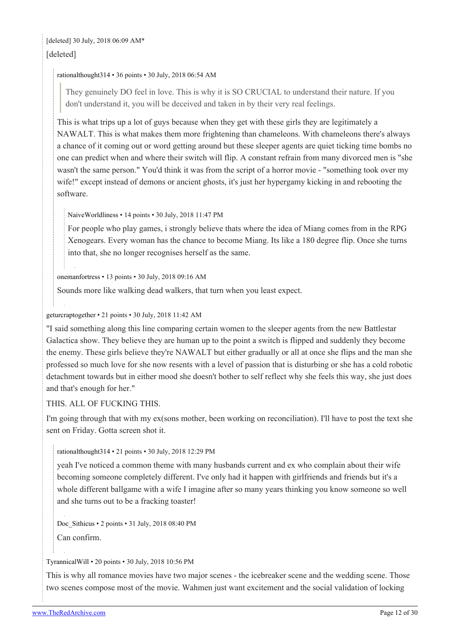### [deleted] 30 July, 2018 06:09 AM\* [deleted]

#### [rationalthought314](https://old.reddit.com/user/rationalthought314) • 36 points • 30 July, 2018 06:54 AM

They genuinely DO feel in love. This is why it is SO CRUCIAL to understand their nature. If you don't understand it, you will be deceived and taken in by their very real feelings.

This is what trips up a lot of guys because when they get with these girls they are legitimately a NAWALT. This is what makes them more frightening than chameleons. With chameleons there's always a chance of it coming out or word getting around but these sleeper agents are quiet ticking time bombs no one can predict when and where their switch will flip. A constant refrain from many divorced men is "she wasn't the same person." You'd think it was from the script of a horror movie - "something took over my wife!" except instead of demons or ancient ghosts, it's just her hypergamy kicking in and rebooting the software.

[NaiveWorldliness](https://old.reddit.com/user/NaiveWorldliness) • 14 points • 30 July, 2018 11:47 PM

For people who play games, i strongly believe thats where the idea of Miang comes from in the RPG Xenogears. Every woman has the chance to become Miang. Its like a 180 degree flip. Once she turns into that, she no longer recognises herself as the same.

[onemanfortress](https://old.reddit.com/user/onemanfortress) • 13 points • 30 July, 2018 09:16 AM

Sounds more like walking dead walkers, that turn when you least expect.

#### [geturcraptogether](https://old.reddit.com/user/geturcraptogether) • 21 points • 30 July, 2018 11:42 AM

"I said something along this line comparing certain women to the sleeper agents from the new Battlestar Galactica show. They believe they are human up to the point a switch is flipped and suddenly they become the enemy. These girls believe they're NAWALT but either gradually or all at once she flips and the man she professed so much love for she now resents with a level of passion that is disturbing or she has a cold robotic detachment towards but in either mood she doesn't bother to self reflect why she feels this way, she just does and that's enough for her."

THIS. ALL OF FUCKING THIS.

I'm going through that with my ex(sons mother, been working on reconciliation). I'll have to post the text she sent on Friday. Gotta screen shot it.

[rationalthought314](https://old.reddit.com/user/rationalthought314) • 21 points • 30 July, 2018 12:29 PM

yeah I've noticed a common theme with many husbands current and ex who complain about their wife becoming someone completely different. I've only had it happen with girlfriends and friends but it's a whole different ballgame with a wife I imagine after so many years thinking you know someone so well and she turns out to be a fracking toaster!

[Doc\\_Sithicus](https://old.reddit.com/user/Doc_Sithicus) • 2 points • 31 July, 2018 08:40 PM

Can confirm.

#### [TyrannicalWill](https://old.reddit.com/user/TyrannicalWill) • 20 points • 30 July, 2018 10:56 PM

This is why all romance movies have two major scenes - the icebreaker scene and the wedding scene. Those two scenes compose most of the movie. Wahmen just want excitement and the social validation of locking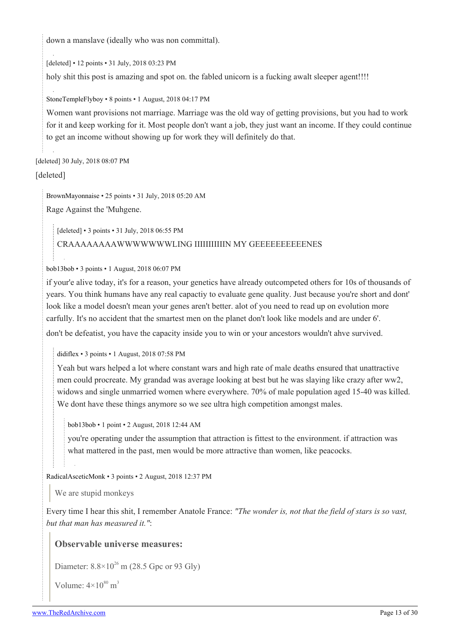down a manslave (ideally who was non committal).

[deleted] • 12 points • 31 July, 2018 03:23 PM

holy shit this post is amazing and spot on. the fabled unicorn is a fucking awalt sleeper agent!!!!

[StoneTempleFlyboy](https://old.reddit.com/user/StoneTempleFlyboy) • 8 points • 1 August, 2018 04:17 PM

Women want provisions not marriage. Marriage was the old way of getting provisions, but you had to work for it and keep working for it. Most people don't want a job, they just want an income. If they could continue to get an income without showing up for work they will definitely do that.

[deleted] 30 July, 2018 08:07 PM

[deleted]

[BrownMayonnaise](https://old.reddit.com/user/BrownMayonnaise) • 25 points • 31 July, 2018 05:20 AM

Rage Against the 'Muhgene.

[deleted] • 3 points • 31 July, 2018 06:55 PM

#### CRAAAAAAAAWWWWWWWLING IIIIIIIIIIIN MY GEEEEEEEEEENES

[bob13bob](https://old.reddit.com/user/bob13bob) • 3 points • 1 August, 2018 06:07 PM

if your'e alive today, it's for a reason, your genetics have already outcompeted others for 10s of thousands of years. You think humans have any real capactiy to evaluate gene quality. Just because you're short and dont' look like a model doesn't mean your genes aren't better. alot of you need to read up on evolution more carfully. It's no accident that the smartest men on the planet don't look like models and are under 6'.

don't be defeatist, you have the capacity inside you to win or your ancestors wouldn't ahve survived.

[didiflex](https://old.reddit.com/user/didiflex) • 3 points • 1 August, 2018 07:58 PM

Yeah but wars helped a lot where constant wars and high rate of male deaths ensured that unattractive men could procreate. My grandad was average looking at best but he was slaying like crazy after ww2, widows and single unmarried women where everywhere. 70% of male population aged 15-40 was killed. We dont have these things anymore so we see ultra high competition amongst males.

[bob13bob](https://old.reddit.com/user/bob13bob) • 1 point • 2 August, 2018 12:44 AM

you're operating under the assumption that attraction is fittest to the environment. if attraction was what mattered in the past, men would be more attractive than women, like peacocks.

[RadicalAsceticMonk](https://old.reddit.com/user/RadicalAsceticMonk) • 3 points • 2 August, 2018 12:37 PM

We are stupid monkeys

Every time I hear this shit, I remember Anatole France: *"The wonder is, not that the field of stars is so vast, but that man has measured it."*:

#### **Observable universe measures:**

Diameter:  $8.8 \times 10^{26}$  m (28.5 Gpc or 93 Glv)

Volume:  $4 \times 10^{80}$  m<sup>3</sup>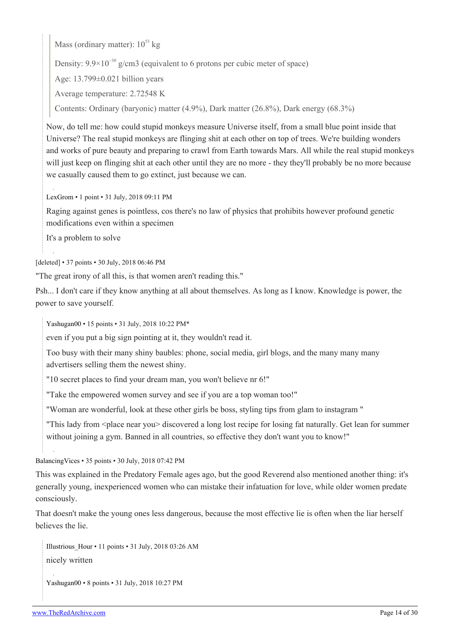Mass (ordinary matter):  $10^{53}$  kg

Density:  $9.9 \times 10^{-30}$  g/cm3 (equivalent to 6 protons per cubic meter of space)

Age: 13.799±0.021 billion years

Average temperature: 2.72548 K

Contents: Ordinary (baryonic) matter (4.9%), Dark matter (26.8%), Dark energy (68.3%)

Now, do tell me: how could stupid monkeys measure Universe itself, from a small blue point inside that Universe? The real stupid monkeys are flinging shit at each other on top of trees. We're building wonders and works of pure beauty and preparing to crawl from Earth towards Mars. All while the real stupid monkeys will just keep on flinging shit at each other until they are no more - they they'll probably be no more because we casually caused them to go extinct, just because we can.

[LexGrom](https://old.reddit.com/user/LexGrom) • 1 point • 31 July, 2018 09:11 PM

Raging against genes is pointless, cos there's no law of physics that prohibits however profound genetic modifications even within a specimen

It's a problem to solve

[deleted] • 37 points • 30 July, 2018 06:46 PM

"The great irony of all this, is that women aren't reading this."

Psh... I don't care if they know anything at all about themselves. As long as I know. Knowledge is power, the power to save yourself.

[Yashugan00](https://old.reddit.com/user/Yashugan00) • 15 points • 31 July, 2018 10:22 PM\*

even if you put a big sign pointing at it, they wouldn't read it.

Too busy with their many shiny baubles: phone, social media, girl blogs, and the many many many advertisers selling them the newest shiny.

"10 secret places to find your dream man, you won't believe nr 6!"

"Take the empowered women survey and see if you are a top woman too!"

"Woman are wonderful, look at these other girls be boss, styling tips from glam to instagram "

"This lady from <place near you> discovered a long lost recipe for losing fat naturally. Get lean for summer without joining a gym. Banned in all countries, so effective they don't want you to know!"

[BalancingVices](https://old.reddit.com/user/BalancingVices) • 35 points • 30 July, 2018 07:42 PM

This was explained in the Predatory Female ages ago, but the good Reverend also mentioned another thing: it's generally young, inexperienced women who can mistake their infatuation for love, while older women predate consciously.

That doesn't make the young ones less dangerous, because the most effective lie is often when the liar herself believes the lie.

Illustrious Hour  $\cdot$  11 points  $\cdot$  31 July, 2018 03:26 AM nicely written

```
Yashugan00 • 8 points • 31 July, 2018 10:27 PM
```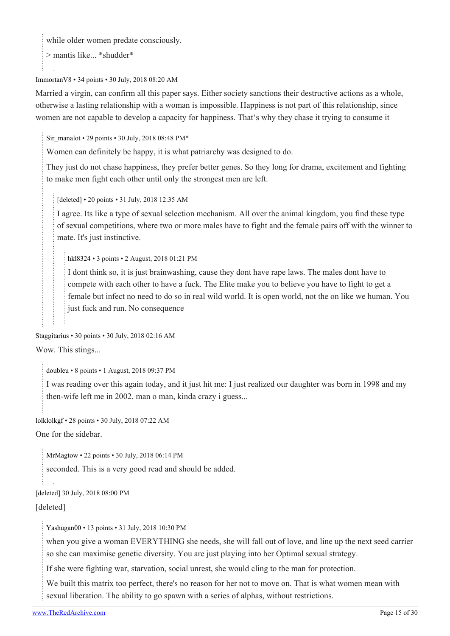while older women predate consciously.

> mantis like... \*shudder\*

[ImmortanV8](https://old.reddit.com/user/ImmortanV8) • 34 points • 30 July, 2018 08:20 AM

Married a virgin, can confirm all this paper says. Either society sanctions their destructive actions as a whole, otherwise a lasting relationship with a woman is impossible. Happiness is not part of this relationship, since women are not capable to develop a capacity for happiness. That's why they chase it trying to consume it

[Sir\\_manalot](https://old.reddit.com/user/Sir_manalot) • 29 points • 30 July, 2018 08:48 PM $*$ 

Women can definitely be happy, it is what patriarchy was designed to do.

They just do not chase happiness, they prefer better genes. So they long for drama, excitement and fighting to make men fight each other until only the strongest men are left.

[deleted] • 20 points • 31 July, 2018 12:35 AM

I agree. Its like a type of sexual selection mechanism. All over the animal kingdom, you find these type of sexual competitions, where two or more males have to fight and the female pairs off with the winner to mate. It's just instinctive.

[hkl8324](https://old.reddit.com/user/hkl8324) • 3 points • 2 August, 2018 01:21 PM

I dont think so, it is just brainwashing, cause they dont have rape laws. The males dont have to compete with each other to have a fuck. The Elite make you to believe you have to fight to get a female but infect no need to do so in real wild world. It is open world, not the on like we human. You just fuck and run. No consequence

[Staggitarius](https://old.reddit.com/user/Staggitarius) • 30 points • 30 July, 2018 02:16 AM

Wow. This stings...

[doubleu](https://old.reddit.com/user/doubleu) • 8 points • 1 August, 2018 09:37 PM

I was reading over this again today, and it just hit me: I just realized our daughter was born in 1998 and my then-wife left me in 2002, man o man, kinda crazy i guess...

[lolklolkgf](https://old.reddit.com/user/lolklolkgf) • 28 points • 30 July, 2018 07:22 AM

One for the sidebar.

[MrMagtow](https://old.reddit.com/user/MrMagtow) • 22 points • 30 July, 2018 06:14 PM

seconded. This is a very good read and should be added.

[deleted] 30 July, 2018 08:00 PM

[deleted]

[Yashugan00](https://old.reddit.com/user/Yashugan00) • 13 points • 31 July, 2018 10:30 PM

when you give a woman EVERYTHING she needs, she will fall out of love, and line up the next seed carrier so she can maximise genetic diversity. You are just playing into her Optimal sexual strategy.

If she were fighting war, starvation, social unrest, she would cling to the man for protection.

We built this matrix too perfect, there's no reason for her not to move on. That is what women mean with sexual liberation. The ability to go spawn with a series of alphas, without restrictions.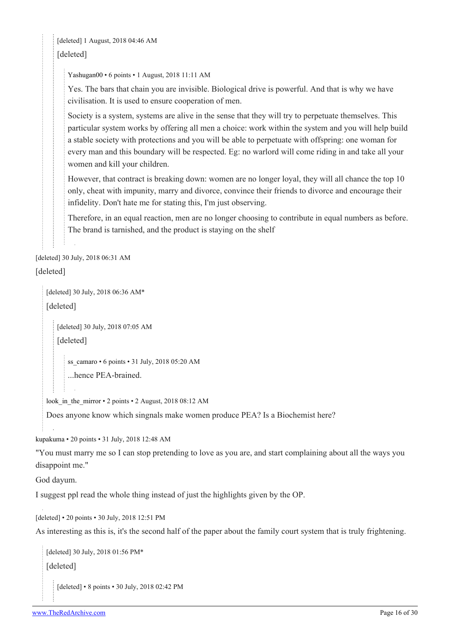[deleted] 1 August, 2018 04:46 AM [deleted]

[Yashugan00](https://old.reddit.com/user/Yashugan00) • 6 points • 1 August, 2018 11:11 AM

Yes. The bars that chain you are invisible. Biological drive is powerful. And that is why we have civilisation. It is used to ensure cooperation of men.

Society is a system, systems are alive in the sense that they will try to perpetuate themselves. This particular system works by offering all men a choice: work within the system and you will help build a stable society with protections and you will be able to perpetuate with offspring: one woman for every man and this boundary will be respected. Eg: no warlord will come riding in and take all your women and kill your children.

However, that contract is breaking down: women are no longer loyal, they will all chance the top 10 only, cheat with impunity, marry and divorce, convince their friends to divorce and encourage their infidelity. Don't hate me for stating this, I'm just observing.

Therefore, in an equal reaction, men are no longer choosing to contribute in equal numbers as before. The brand is tarnished, and the product is staying on the shelf

[deleted] 30 July, 2018 06:31 AM

[deleted]

[deleted] 30 July, 2018 06:36 AM\*

[deleted]

[deleted] 30 July, 2018 07:05 AM [deleted]

[ss\\_camaro](https://old.reddit.com/user/ss_camaro) • 6 points • 31 July, 2018 05:20 AM ...hence PEA-brained.

look in the mirror • 2 points • 2 August, 2018 08:12 AM

Does anyone know which singnals make women produce PEA? Is a Biochemist here?

[kupakuma](https://old.reddit.com/user/kupakuma) • 20 points • 31 July, 2018 12:48 AM

"You must marry me so I can stop pretending to love as you are, and start complaining about all the ways you disappoint me."

God dayum.

I suggest ppl read the whole thing instead of just the highlights given by the OP.

[deleted] • 20 points • 30 July, 2018 12:51 PM

As interesting as this is, it's the second half of the paper about the family court system that is truly frightening.

```
[deleted] 30 July, 2018 01:56 PM*
[deleted]
   [deleted] • 8 points • 30 July, 2018 02:42 PM
```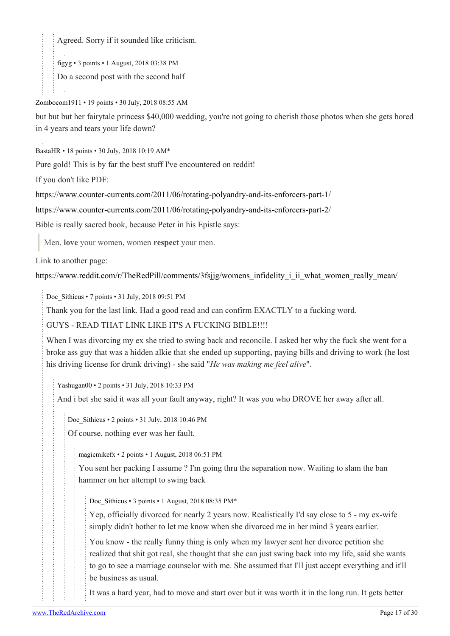Agreed. Sorry if it sounded like criticism.

[figyg](https://old.reddit.com/user/figyg) • 3 points • 1 August, 2018 03:38 PM

Do a second post with the second half

[Zombocom1911](https://old.reddit.com/user/Zombocom1911) • 19 points • 30 July, 2018 08:55 AM

but but but her fairytale princess \$40,000 wedding, you're not going to cherish those photos when she gets bored in 4 years and tears your life down?

[BastaHR](https://old.reddit.com/user/BastaHR) • 18 points • 30 July, 2018 10:19 AM\*

Pure gold! This is by far the best stuff I've encountered on reddit!

If you don't like PDF:

<https://www.counter-currents.com/2011/06/rotating-polyandry-and-its-enforcers-part-1/>

[https://www.counter-currents.com/2011/06/rotating-polyandry-and-its-enforcers-part-2/](https://www.counter-currents.com/2011/06/rotating-polyandry-and-its-enforcers-part-1/)

Bible is really sacred book, because Peter in his Epistle says:

Men, **love** your women, women **respect** your men.

Link to another page:

[https://www.reddit.com/r/TheRedPill/comments/3fsjjg/womens\\_infidelity\\_i\\_ii\\_what\\_women\\_really\\_mean/](https://www.reddit.com/r/TheRedPill/comments/3fsjjg/womens_infidelity_i_ii_what_women_really_mean/)

[Doc\\_Sithicus](https://old.reddit.com/user/Doc_Sithicus) • 7 points • 31 July, 2018 09:51 PM

Thank you for the last link. Had a good read and can confirm EXACTLY to a fucking word.

GUYS - READ THAT LINK LIKE IT'S A FUCKING BIBLE!!!!

When I was divorcing my ex she tried to swing back and reconcile. I asked her why the fuck she went for a broke ass guy that was a hidden alkie that she ended up supporting, paying bills and driving to work (he lost his driving license for drunk driving) - she said "*He was making me feel alive*".

[Yashugan00](https://old.reddit.com/user/Yashugan00) • 2 points • 31 July, 2018 10:33 PM

And i bet she said it was all your fault anyway, right? It was you who DROVE her away after all.

[Doc\\_Sithicus](https://old.reddit.com/user/Doc_Sithicus) • 2 points • 31 July, 2018 10:46 PM

Of course, nothing ever was her fault.

[magicmikefx](https://old.reddit.com/user/magicmikefx) • 2 points • 1 August, 2018 06:51 PM

You sent her packing I assume ? I'm going thru the separation now. Waiting to slam the ban hammer on her attempt to swing back

Doc Sithicus • 3 points • 1 August, 2018 08:35 PM\*

Yep, officially divorced for nearly 2 years now. Realistically I'd say close to 5 - my ex-wife simply didn't bother to let me know when she divorced me in her mind 3 years earlier.

You know - the really funny thing is only when my lawyer sent her divorce petition she realized that shit got real, she thought that she can just swing back into my life, said she wants to go to see a marriage counselor with me. She assumed that I'll just accept everything and it'll be business as usual.

It was a hard year, had to move and start over but it was worth it in the long run. It gets better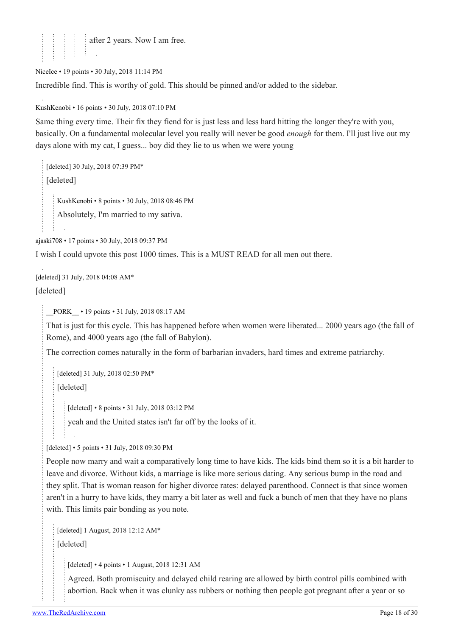

[NiceIce](https://old.reddit.com/user/NiceIce) • 19 points • 30 July, 2018 11:14 PM Incredible find. This is worthy of gold. This should be pinned and/or added to the sidebar.

[KushKenobi](https://old.reddit.com/user/KushKenobi) • 16 points • 30 July, 2018 07:10 PM

Same thing every time. Their fix they fiend for is just less and less hard hitting the longer they're with you, basically. On a fundamental molecular level you really will never be good *enough* for them. I'll just live out my days alone with my cat, I guess... boy did they lie to us when we were young

```
[deleted] 30 July, 2018 07:39 PM*
[deleted]
   KushKenobi • 8 points • 30 July, 2018 08:46 PM
   Absolutely, I'm married to my sativa.
```
[ajaski708](https://old.reddit.com/user/ajaski708) • 17 points • 30 July, 2018 09:37 PM

I wish I could upvote this post 1000 times. This is a MUST READ for all men out there.

[deleted] 31 July, 2018 04:08 AM\* [deleted]

[\\_\\_PORK\\_\\_](https://old.reddit.com/user/__PORK__) • 19 points • 31 July, 2018 08:17 AM

That is just for this cycle. This has happened before when women were liberated... 2000 years ago (the fall of Rome), and 4000 years ago (the fall of Babylon).

The correction comes naturally in the form of barbarian invaders, hard times and extreme patriarchy.

[deleted] 31 July, 2018 02:50 PM\* [deleted]

[deleted] • 8 points • 31 July, 2018 03:12 PM yeah and the United states isn't far off by the looks of it.

[deleted] • 5 points • 31 July, 2018 09:30 PM

People now marry and wait a comparatively long time to have kids. The kids bind them so it is a bit harder to leave and divorce. Without kids, a marriage is like more serious dating. Any serious bump in the road and they split. That is woman reason for higher divorce rates: delayed parenthood. Connect is that since women aren't in a hurry to have kids, they marry a bit later as well and fuck a bunch of men that they have no plans with. This limits pair bonding as you note.

```
[deleted] 1 August, 2018 12:12 AM*
[deleted]
```
[deleted] • 4 points • 1 August, 2018 12:31 AM

Agreed. Both promiscuity and delayed child rearing are allowed by birth control pills combined with abortion. Back when it was clunky ass rubbers or nothing then people got pregnant after a year or so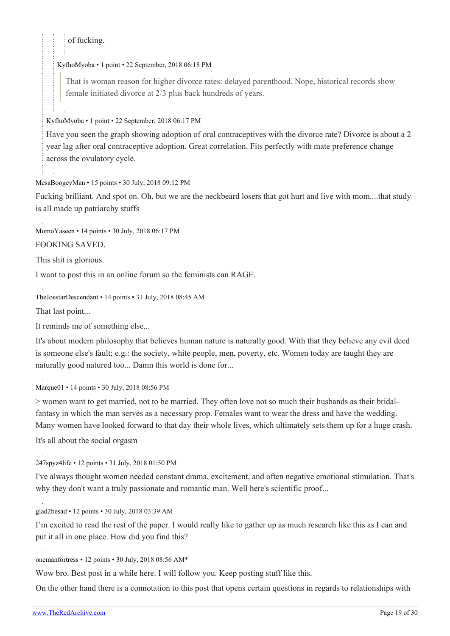of fucking.

#### [KyfhoMyoba](https://old.reddit.com/user/KyfhoMyoba) • 1 point • 22 September, 2018 06:18 PM

That is woman reason for higher divorce rates: delayed parenthood. Nope, historical records show female initiated divorce at 2/3 plus back hundreds of years.

[KyfhoMyoba](https://old.reddit.com/user/KyfhoMyoba) • 1 point • 22 September, 2018 06:17 PM

Have you seen the graph showing adoption of oral contraceptives with the divorce rate? Divorce is about a 2 year lag after oral contraceptive adoption. Great correlation. Fits perfectly with mate preference change across the ovulatory cycle.

#### [MesaBoogeyMan](https://old.reddit.com/user/MesaBoogeyMan) • 15 points • 30 July, 2018 09:12 PM

Fucking brilliant. And spot on. Oh, but we are the neckbeard losers that got hurt and live with mom....that study is all made up patriarchy stuffs

[MomoYaseen](https://old.reddit.com/user/MomoYaseen) • 14 points • 30 July, 2018 06:17 PM

FOOKING SAVED.

This shit is glorious.

I want to post this in an online forum so the feminists can RAGE.

[TheJoestarDescendant](https://old.reddit.com/user/TheJoestarDescendant) • 14 points • 31 July, 2018 08:45 AM

That last point...

It reminds me of something else...

It's about modern philosophy that believes human nature is naturally good. With that they believe any evil deed is someone else's fault; e.g.: the society, white people, men, poverty, etc. Women today are taught they are naturally good natured too... Damn this world is done for...

[Marque01](https://old.reddit.com/user/Marque01) • 14 points • 30 July, 2018 08:56 PM

> women want to get married, not to be married. They often love not so much their husbands as their bridalfantasy in which the man serves as a necessary prop. Females want to wear the dress and have the wedding. Many women have looked forward to that day their whole lives, which ultimately sets them up for a huge crash.

It's all about the social orgasm

[247spyz4life](https://old.reddit.com/user/247spyz4life) • 12 points • 31 July, 2018 01:50 PM

I've always thought women needed constant drama, excitement, and often negative emotional stimulation. That's why they don't want a truly passionate and romantic man. Well here's scientific proof...

[glad2besad](https://old.reddit.com/user/glad2besad) • 12 points • 30 July, 2018 03:39 AM

I'm excited to read the rest of the paper. I would really like to gather up as much research like this as I can and put it all in one place. How did you find this?

[onemanfortress](https://old.reddit.com/user/onemanfortress) • 12 points • 30 July, 2018 08:56 AM\*

Wow bro. Best post in a while here. I will follow you. Keep posting stuff like this.

On the other hand there is a connotation to this post that opens certain questions in regards to relationships with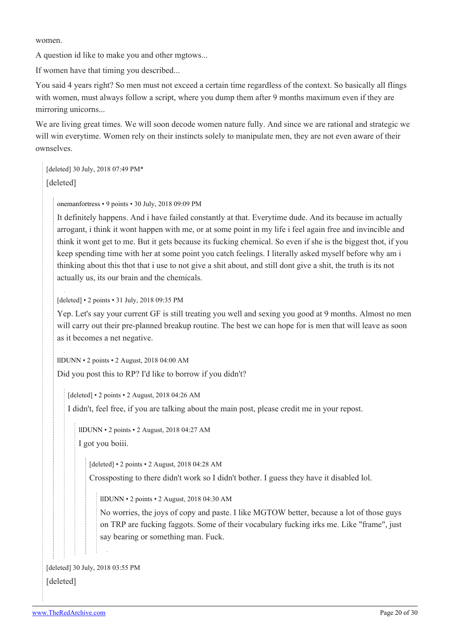women.

A question id like to make you and other mgtows...

If women have that timing you described...

You said 4 years right? So men must not exceed a certain time regardless of the context. So basically all flings with women, must always follow a script, where you dump them after 9 months maximum even if they are mirroring unicorns...

We are living great times. We will soon decode women nature fully. And since we are rational and strategic we will win everytime. Women rely on their instincts solely to manipulate men, they are not even aware of their ownselves.

[deleted] 30 July, 2018 07:49 PM\* [deleted]

[onemanfortress](https://old.reddit.com/user/onemanfortress) • 9 points • 30 July, 2018 09:09 PM

It definitely happens. And i have failed constantly at that. Everytime dude. And its because im actually arrogant, i think it wont happen with me, or at some point in my life i feel again free and invincible and think it wont get to me. But it gets because its fucking chemical. So even if she is the biggest thot, if you keep spending time with her at some point you catch feelings. I literally asked myself before why am i thinking about this thot that i use to not give a shit about, and still dont give a shit, the truth is its not actually us, its our brain and the chemicals.

[deleted] • 2 points • 31 July, 2018 09:35 PM

Yep. Let's say your current GF is still treating you well and sexing you good at 9 months. Almost no men will carry out their pre-planned breakup routine. The best we can hope for is men that will leave as soon as it becomes a net negative.

[llDUNN](https://old.reddit.com/user/llDUNN) • 2 points • 2 August, 2018 04:00 AM

Did you post this to RP? I'd like to borrow if you didn't?

[deleted] • 2 points • 2 August, 2018 04:26 AM

I didn't, feel free, if you are talking about the main post, please credit me in your repost.

[llDUNN](https://old.reddit.com/user/llDUNN) • 2 points • 2 August, 2018 04:27 AM

I got you boiii.

[deleted] • 2 points • 2 August, 2018 04:28 AM

Crossposting to there didn't work so I didn't bother. I guess they have it disabled lol.

[llDUNN](https://old.reddit.com/user/llDUNN) • 2 points • 2 August, 2018 04:30 AM

No worries, the joys of copy and paste. I like MGTOW better, because a lot of those guys on TRP are fucking faggots. Some of their vocabulary fucking irks me. Like "frame", just say bearing or something man. Fuck.

```
[deleted] 30 July, 2018 03:55 PM
```
[deleted]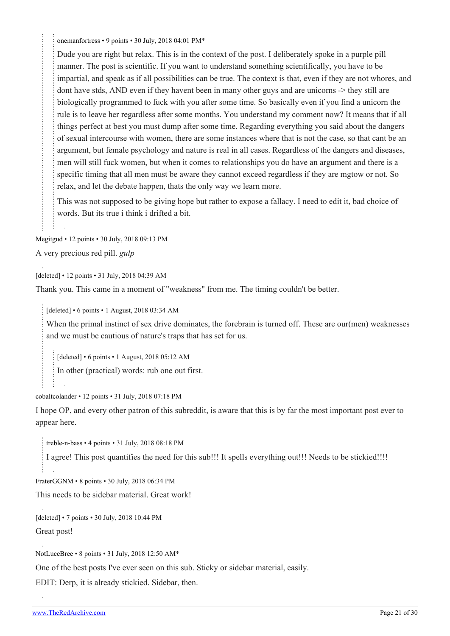[onemanfortress](https://old.reddit.com/user/onemanfortress) • 9 points • 30 July, 2018 04:01 PM\*

Dude you are right but relax. This is in the context of the post. I deliberately spoke in a purple pill manner. The post is scientific. If you want to understand something scientifically, you have to be impartial, and speak as if all possibilities can be true. The context is that, even if they are not whores, and dont have stds, AND even if they havent been in many other guys and are unicorns -> they still are biologically programmed to fuck with you after some time. So basically even if you find a unicorn the rule is to leave her regardless after some months. You understand my comment now? It means that if all things perfect at best you must dump after some time. Regarding everything you said about the dangers of sexual intercourse with women, there are some instances where that is not the case, so that cant be an argument, but female psychology and nature is real in all cases. Regardless of the dangers and diseases, men will still fuck women, but when it comes to relationships you do have an argument and there is a specific timing that all men must be aware they cannot exceed regardless if they are mgtow or not. So relax, and let the debate happen, thats the only way we learn more.

This was not supposed to be giving hope but rather to expose a fallacy. I need to edit it, bad choice of words. But its true i think i drifted a bit.

[Megitgud](https://old.reddit.com/user/Megitgud) • 12 points • 30 July, 2018 09:13 PM A very precious red pill. *gulp*

[deleted] • 12 points • 31 July, 2018 04:39 AM

Thank you. This came in a moment of "weakness" from me. The timing couldn't be better.

[deleted] • 6 points • 1 August, 2018 03:34 AM

When the primal instinct of sex drive dominates, the forebrain is turned off. These are our(men) weaknesses and we must be cautious of nature's traps that has set for us.

[deleted] • 6 points • 1 August, 2018 05:12 AM

In other (practical) words: rub one out first.

[cobaltcolander](https://old.reddit.com/user/cobaltcolander) • 12 points • 31 July, 2018 07:18 PM

I hope OP, and every other patron of this subreddit, is aware that this is by far the most important post ever to appear here.

[treble-n-bass](https://old.reddit.com/user/treble-n-bass) • 4 points • 31 July, 2018 08:18 PM

I agree! This post quantifies the need for this sub!!! It spells everything out!!! Needs to be stickied!!!!

[FraterGGNM](https://old.reddit.com/user/FraterGGNM) • 8 points • 30 July, 2018 06:34 PM

This needs to be sidebar material. Great work!

[deleted] • 7 points • 30 July, 2018 10:44 PM

Great post!

[NotLuceBree](https://old.reddit.com/user/NotLuceBree) • 8 points • 31 July, 2018 12:50 AM\*

One of the best posts I've ever seen on this sub. Sticky or sidebar material, easily.

EDIT: Derp, it is already stickied. Sidebar, then.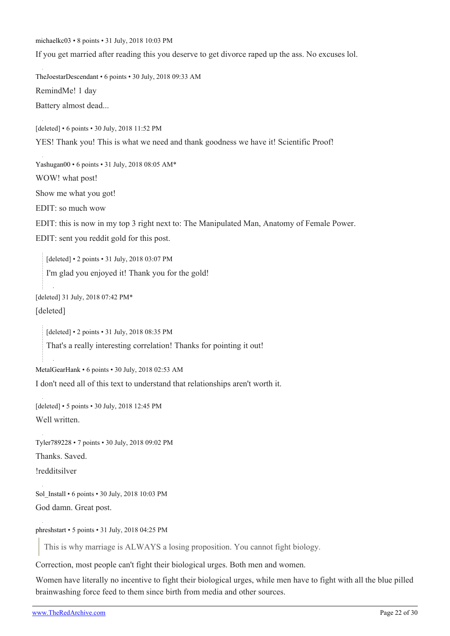[michaelkc03](https://old.reddit.com/user/michaelkc03) • 8 points • 31 July, 2018 10:03 PM

If you get married after reading this you deserve to get divorce raped up the ass. No excuses lol.

[TheJoestarDescendant](https://old.reddit.com/user/TheJoestarDescendant) • 6 points • 30 July, 2018 09:33 AM RemindMe! 1 day Battery almost dead...

[deleted] • 6 points • 30 July, 2018 11:52 PM YES! Thank you! This is what we need and thank goodness we have it! Scientific Proof!

[Yashugan00](https://old.reddit.com/user/Yashugan00) • 6 points • 31 July, 2018 08:05 AM\* WOW! what post! Show me what you got!

EDIT: so much wow

EDIT: this is now in my top 3 right next to: The Manipulated Man, Anatomy of Female Power.

EDIT: sent you reddit gold for this post.

[deleted] • 2 points • 31 July, 2018 03:07 PM I'm glad you enjoyed it! Thank you for the gold!

[deleted] 31 July, 2018 07:42 PM\*

[deleted]

[deleted] • 2 points • 31 July, 2018 08:35 PM

That's a really interesting correlation! Thanks for pointing it out!

[MetalGearHank](https://old.reddit.com/user/MetalGearHank) • 6 points • 30 July, 2018 02:53 AM

I don't need all of this text to understand that relationships aren't worth it.

[deleted] • 5 points • 30 July, 2018 12:45 PM Well written.

[Tyler789228](https://old.reddit.com/user/Tyler789228) • 7 points • 30 July, 2018 09:02 PM Thanks. Saved. !redditsilver

[Sol\\_Install](https://old.reddit.com/user/Sol_Install) • 6 points • 30 July, 2018 10:03 PM God damn. Great post.

[phreshstart](https://old.reddit.com/user/phreshstart) • 5 points • 31 July, 2018 04:25 PM

This is why marriage is ALWAYS a losing proposition. You cannot fight biology.

Correction, most people can't fight their biological urges. Both men and women.

Women have literally no incentive to fight their biological urges, while men have to fight with all the blue pilled brainwashing force feed to them since birth from media and other sources.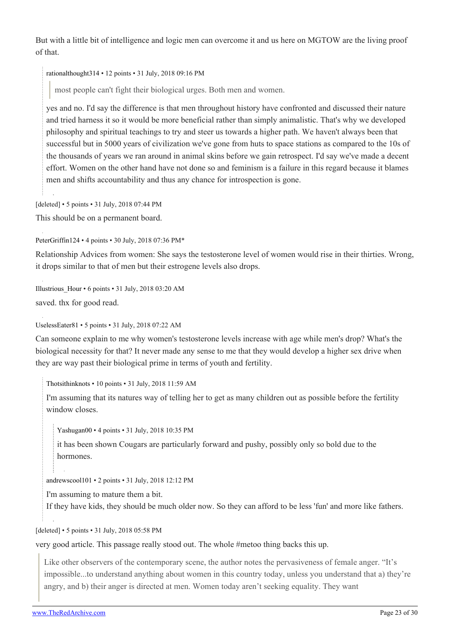But with a little bit of intelligence and logic men can overcome it and us here on MGTOW are the living proof of that.

[rationalthought314](https://old.reddit.com/user/rationalthought314) • 12 points • 31 July, 2018 09:16 PM

most people can't fight their biological urges. Both men and women.

yes and no. I'd say the difference is that men throughout history have confronted and discussed their nature and tried harness it so it would be more beneficial rather than simply animalistic. That's why we developed philosophy and spiritual teachings to try and steer us towards a higher path. We haven't always been that successful but in 5000 years of civilization we've gone from huts to space stations as compared to the 10s of the thousands of years we ran around in animal skins before we gain retrospect. I'd say we've made a decent effort. Women on the other hand have not done so and feminism is a failure in this regard because it blames men and shifts accountability and thus any chance for introspection is gone.

[deleted] • 5 points • 31 July, 2018 07:44 PM

This should be on a permanent board.

[PeterGriffin124](https://old.reddit.com/user/PeterGriffin124) • 4 points • 30 July, 2018 07:36 PM\*

Relationship Advices from women: She says the testosterone level of women would rise in their thirties. Wrong, it drops similar to that of men but their estrogene levels also drops.

Illustrious  $Hour \cdot 6$  points  $\cdot$  31 July, 2018 03:20 AM saved. thx for good read.

[UselessEater81](https://old.reddit.com/user/UselessEater81) • 5 points • 31 July, 2018 07:22 AM

Can someone explain to me why women's testosterone levels increase with age while men's drop? What's the biological necessity for that? It never made any sense to me that they would develop a higher sex drive when they are way past their biological prime in terms of youth and fertility.

[Thotsithinknots](https://old.reddit.com/user/Thotsithinknots) • 10 points • 31 July, 2018 11:59 AM

I'm assuming that its natures way of telling her to get as many children out as possible before the fertility window closes.

[Yashugan00](https://old.reddit.com/user/Yashugan00) • 4 points • 31 July, 2018 10:35 PM

it has been shown Cougars are particularly forward and pushy, possibly only so bold due to the hormones.

[andrewscool101](https://old.reddit.com/user/andrewscool101) • 2 points • 31 July, 2018 12:12 PM

I'm assuming to mature them a bit.

If they have kids, they should be much older now. So they can afford to be less 'fun' and more like fathers.

[deleted] • 5 points • 31 July, 2018 05:58 PM

very good article. This passage really stood out. The whole #metoo thing backs this up.

Like other observers of the contemporary scene, the author notes the pervasiveness of female anger. "It's impossible...to understand anything about women in this country today, unless you understand that a) they're angry, and b) their anger is directed at men. Women today aren't seeking equality. They want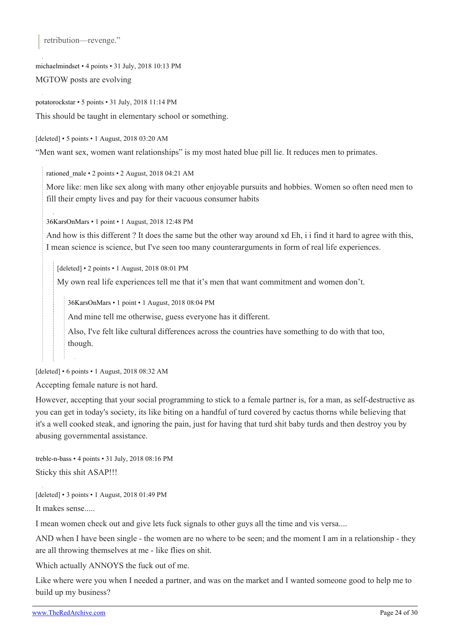retribution—revenge."

[michaelmindset](https://old.reddit.com/user/michaelmindset) • 4 points • 31 July, 2018 10:13 PM

MGTOW posts are evolving

[potatorockstar](https://old.reddit.com/user/potatorockstar) • 5 points • 31 July, 2018 11:14 PM This should be taught in elementary school or something.

[deleted] • 5 points • 1 August, 2018 03:20 AM

"Men want sex, women want relationships" is my most hated blue pill lie. It reduces men to primates.

[rationed\\_male](https://old.reddit.com/user/rationed_male) • 2 points • 2 August, 2018 04:21 AM

More like: men like sex along with many other enjoyable pursuits and hobbies. Women so often need men to fill their empty lives and pay for their vacuous consumer habits

[36KarsOnMars](https://old.reddit.com/user/36KarsOnMars) • 1 point • 1 August, 2018 12:48 PM

And how is this different ? It does the same but the other way around xd Eh, i i find it hard to agree with this, I mean science is science, but I've seen too many counterarguments in form of real life experiences.

[deleted] • 2 points • 1 August, 2018 08:01 PM

My own real life experiences tell me that it's men that want commitment and women don't.

[36KarsOnMars](https://old.reddit.com/user/36KarsOnMars) • 1 point • 1 August, 2018 08:04 PM

And mine tell me otherwise, guess everyone has it different.

Also, I've felt like cultural differences across the countries have something to do with that too, though.

[deleted] • 6 points • 1 August, 2018 08:32 AM

Accepting female nature is not hard.

However, accepting that your social programming to stick to a female partner is, for a man, as self-destructive as you can get in today's society, its like biting on a handful of turd covered by cactus thorns while believing that it's a well cooked steak, and ignoring the pain, just for having that turd shit baby turds and then destroy you by abusing governmental assistance.

[treble-n-bass](https://old.reddit.com/user/treble-n-bass) • 4 points • 31 July, 2018 08:16 PM Sticky this shit ASAP!!!

[deleted] • 3 points • 1 August, 2018 01:49 PM

It makes sense.....

I mean women check out and give lets fuck signals to other guys all the time and vis versa....

AND when I have been single - the women are no where to be seen; and the moment I am in a relationship - they are all throwing themselves at me - like flies on shit.

Which actually ANNOYS the fuck out of me.

Like where were you when I needed a partner, and was on the market and I wanted someone good to help me to build up my business?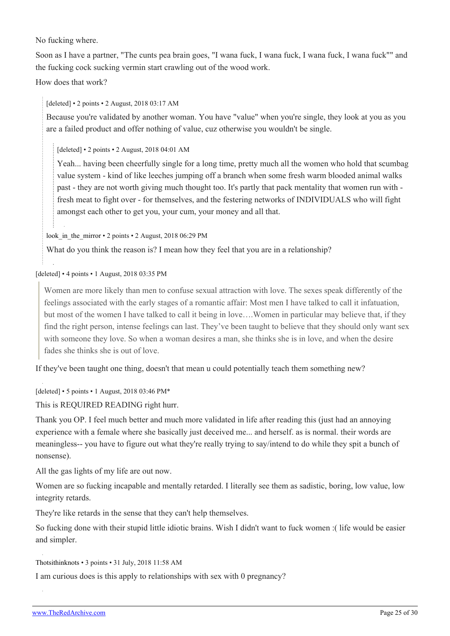No fucking where.

Soon as I have a partner, "The cunts pea brain goes, "I wana fuck, I wana fuck, I wana fuck, I wana fuck"" and the fucking cock sucking vermin start crawling out of the wood work.

How does that work?

[deleted] • 2 points • 2 August, 2018 03:17 AM

Because you're validated by another woman. You have "value" when you're single, they look at you as you are a failed product and offer nothing of value, cuz otherwise you wouldn't be single.

[deleted] • 2 points • 2 August, 2018 04:01 AM

Yeah... having been cheerfully single for a long time, pretty much all the women who hold that scumbag value system - kind of like leeches jumping off a branch when some fresh warm blooded animal walks past - they are not worth giving much thought too. It's partly that pack mentality that women run with fresh meat to fight over - for themselves, and the festering networks of INDIVIDUALS who will fight amongst each other to get you, your cum, your money and all that.

look in the mirror • 2 points • 2 August, 2018 06:29 PM

What do you think the reason is? I mean how they feel that you are in a relationship?

[deleted] • 4 points • 1 August, 2018 03:35 PM

Women are more likely than men to confuse sexual attraction with love. The sexes speak differently of the feelings associated with the early stages of a romantic affair: Most men I have talked to call it infatuation, but most of the women I have talked to call it being in love….Women in particular may believe that, if they find the right person, intense feelings can last. They've been taught to believe that they should only want sex with someone they love. So when a woman desires a man, she thinks she is in love, and when the desire fades she thinks she is out of love.

If they've been taught one thing, doesn't that mean u could potentially teach them something new?

[deleted] • 5 points • 1 August, 2018 03:46 PM\*

This is REQUIRED READING right hurr.

Thank you OP. I feel much better and much more validated in life after reading this (just had an annoying experience with a female where she basically just deceived me... and herself. as is normal. their words are meaningless-- you have to figure out what they're really trying to say/intend to do while they spit a bunch of nonsense).

All the gas lights of my life are out now.

Women are so fucking incapable and mentally retarded. I literally see them as sadistic, boring, low value, low integrity retards.

They're like retards in the sense that they can't help themselves.

So fucking done with their stupid little idiotic brains. Wish I didn't want to fuck women :( life would be easier and simpler.

[Thotsithinknots](https://old.reddit.com/user/Thotsithinknots) • 3 points • 31 July, 2018 11:58 AM

I am curious does is this apply to relationships with sex with 0 pregnancy?

[www.TheRedArchive.com](https://theredarchive.com/) **Page 25 of 30**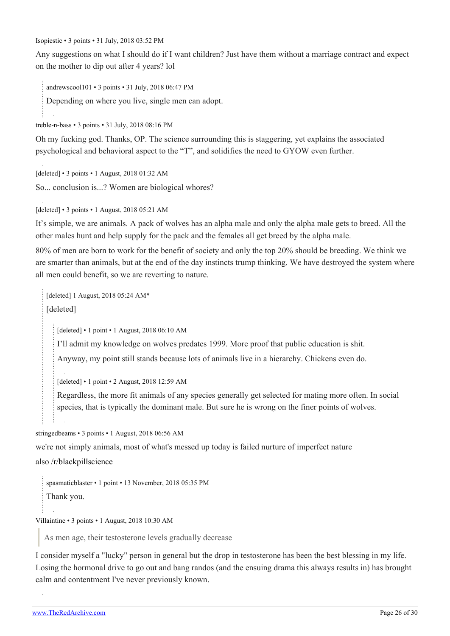[Isopiestic](https://old.reddit.com/user/Isopiestic) • 3 points • 31 July, 2018 03:52 PM

Any suggestions on what I should do if I want children? Just have them without a marriage contract and expect on the mother to dip out after 4 years? lol

[andrewscool101](https://old.reddit.com/user/andrewscool101) • 3 points • 31 July, 2018 06:47 PM

Depending on where you live, single men can adopt.

[treble-n-bass](https://old.reddit.com/user/treble-n-bass) • 3 points • 31 July, 2018 08:16 PM

Oh my fucking god. Thanks, OP. The science surrounding this is staggering, yet explains the associated psychological and behavioral aspect to the "T", and solidifies the need to GYOW even further.

[deleted] • 3 points • 1 August, 2018 01:32 AM So... conclusion is...? Women are biological whores?

[deleted] • 3 points • 1 August, 2018 05:21 AM

It's simple, we are animals. A pack of wolves has an alpha male and only the alpha male gets to breed. All the other males hunt and help supply for the pack and the females all get breed by the alpha male.

80% of men are born to work for the benefit of society and only the top 20% should be breeding. We think we are smarter than animals, but at the end of the day instincts trump thinking. We have destroyed the system where all men could benefit, so we are reverting to nature.

[deleted] 1 August, 2018 05:24 AM\* [deleted]

[deleted] • 1 point • 1 August, 2018 06:10 AM

I'll admit my knowledge on wolves predates 1999. More proof that public education is shit.

Anyway, my point still stands because lots of animals live in a hierarchy. Chickens even do.

[deleted] • 1 point • 2 August, 2018 12:59 AM

Regardless, the more fit animals of any species generally get selected for mating more often. In social species, that is typically the dominant male. But sure he is wrong on the finer points of wolves.

[stringedbeams](https://old.reddit.com/user/stringedbeams) • 3 points • 1 August, 2018 06:56 AM

we're not simply animals, most of what's messed up today is failed nurture of imperfect nature

also [/r/blackpillscience](https://theredarchive.com/r/blackpillscience)

[spasmaticblaster](https://old.reddit.com/user/spasmaticblaster) • 1 point • 13 November, 2018 05:35 PM Thank you.

[Villaintine](https://old.reddit.com/user/Villaintine) • 3 points • 1 August, 2018 10:30 AM

As men age, their testosterone levels gradually decrease

I consider myself a "lucky" person in general but the drop in testosterone has been the best blessing in my life. Losing the hormonal drive to go out and bang randos (and the ensuing drama this always results in) has brought calm and contentment I've never previously known.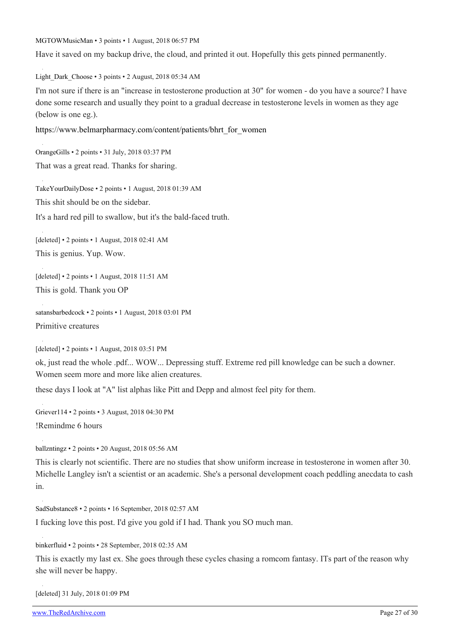[MGTOWMusicMan](https://old.reddit.com/user/MGTOWMusicMan) • 3 points • 1 August, 2018 06:57 PM

Have it saved on my backup drive, the cloud, and printed it out. Hopefully this gets pinned permanently.

[Light\\_Dark\\_Choose](https://old.reddit.com/user/Light_Dark_Choose) • 3 points • 2 August, 2018 05:34 AM

I'm not sure if there is an "increase in testosterone production at 30" for women - do you have a source? I have done some research and usually they point to a gradual decrease in testosterone levels in women as they age (below is one eg.).

[https://www.belmarpharmacy.com/content/patients/bhrt\\_for\\_women](https://www.belmarpharmacy.com/content/patients/bhrt_for_women)

[OrangeGills](https://old.reddit.com/user/OrangeGills) • 2 points • 31 July, 2018 03:37 PM That was a great read. Thanks for sharing. [TakeYourDailyDose](https://old.reddit.com/user/TakeYourDailyDose) • 2 points • 1 August, 2018 01:39 AM This shit should be on the sidebar. It's a hard red pill to swallow, but it's the bald-faced truth. [deleted] • 2 points • 1 August, 2018 02:41 AM This is genius. Yup. Wow.

[deleted] • 2 points • 1 August, 2018 11:51 AM This is gold. Thank you OP

[satansbarbedcock](https://old.reddit.com/user/satansbarbedcock) • 2 points • 1 August, 2018 03:01 PM Primitive creatures

[deleted] • 2 points • 1 August, 2018 03:51 PM

ok, just read the whole .pdf... WOW... Depressing stuff. Extreme red pill knowledge can be such a downer. Women seem more and more like alien creatures.

these days I look at "A" list alphas like Pitt and Depp and almost feel pity for them.

[Griever114](https://old.reddit.com/user/Griever114) • 2 points • 3 August, 2018 04:30 PM !Remindme 6 hours

[ballzntingz](https://old.reddit.com/user/ballzntingz) • 2 points • 20 August, 2018 05:56 AM

This is clearly not scientific. There are no studies that show uniform increase in testosterone in women after 30. Michelle Langley isn't a scientist or an academic. She's a personal development coach peddling anecdata to cash in.

[SadSubstance8](https://old.reddit.com/user/SadSubstance8) • 2 points • 16 September, 2018 02:57 AM

I fucking love this post. I'd give you gold if I had. Thank you SO much man.

[binkerfluid](https://old.reddit.com/user/binkerfluid) • 2 points • 28 September, 2018 02:35 AM

This is exactly my last ex. She goes through these cycles chasing a romcom fantasy. ITs part of the reason why she will never be happy.

[deleted] 31 July, 2018 01:09 PM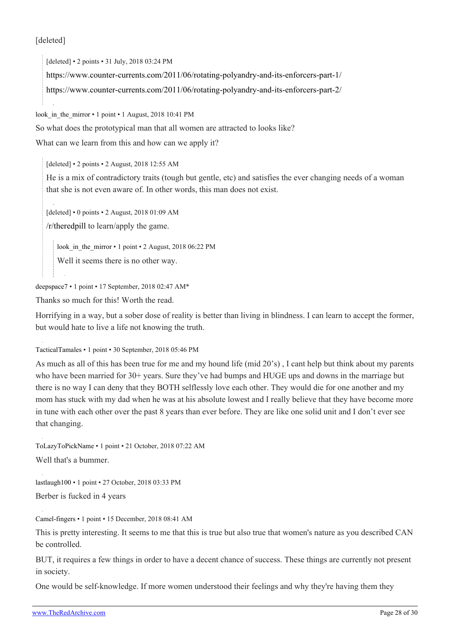#### [deleted]

[deleted] • 2 points • 31 July, 2018 03:24 PM <https://www.counter-currents.com/2011/06/rotating-polyandry-and-its-enforcers-part-1/> <https://www.counter-currents.com/2011/06/rotating-polyandry-and-its-enforcers-part-2/>

look in the mirror • 1 point • 1 August, 2018 10:41 PM

So what does the prototypical man that all women are attracted to looks like?

What can we learn from this and how can we apply it?

[deleted] • 2 points • 2 August, 2018 12:55 AM

He is a mix of contradictory traits (tough but gentle, etc) and satisfies the ever changing needs of a woman that she is not even aware of. In other words, this man does not exist.

[deleted] • 0 points • 2 August, 2018 01:09 AM

[/r/theredpill](https://theredarchive.com/r/theredpill) to learn/apply the game.

look in the mirror • 1 point • 2 August, 2018 06:22 PM

Well it seems there is no other way.

[deepspace7](https://old.reddit.com/user/deepspace7) • 1 point • 17 September, 2018 02:47 AM\*

Thanks so much for this! Worth the read.

Horrifying in a way, but a sober dose of reality is better than living in blindness. I can learn to accept the former, but would hate to live a life not knowing the truth.

[TacticalTamales](https://old.reddit.com/user/TacticalTamales) • 1 point • 30 September, 2018 05:46 PM

As much as all of this has been true for me and my hound life (mid 20's) , I cant help but think about my parents who have been married for 30+ years. Sure they've had bumps and HUGE ups and downs in the marriage but there is no way I can deny that they BOTH selflessly love each other. They would die for one another and my mom has stuck with my dad when he was at his absolute lowest and I really believe that they have become more in tune with each other over the past 8 years than ever before. They are like one solid unit and I don't ever see that changing.

[ToLazyToPickName](https://old.reddit.com/user/ToLazyToPickName) • 1 point • 21 October, 2018 07:22 AM Well that's a bummer.

[lastlaugh100](https://old.reddit.com/user/lastlaugh100) • 1 point • 27 October, 2018 03:33 PM Berber is fucked in 4 years

[Camel-fingers](https://old.reddit.com/user/Camel-fingers) • 1 point • 15 December, 2018 08:41 AM

This is pretty interesting. It seems to me that this is true but also true that women's nature as you described CAN be controlled.

BUT, it requires a few things in order to have a decent chance of success. These things are currently not present in society.

One would be self-knowledge. If more women understood their feelings and why they're having them they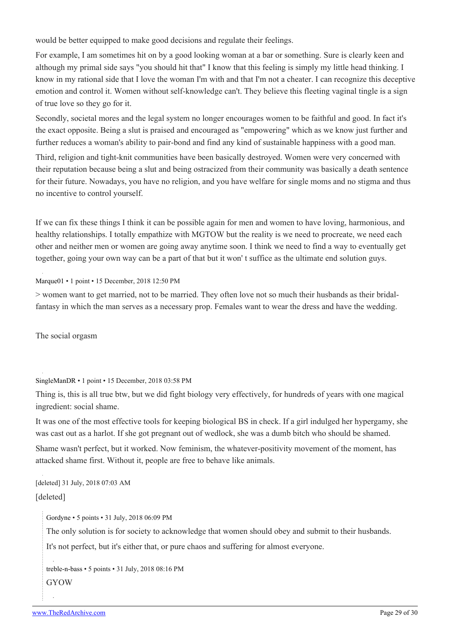would be better equipped to make good decisions and regulate their feelings.

For example, I am sometimes hit on by a good looking woman at a bar or something. Sure is clearly keen and although my primal side says "you should hit that" I know that this feeling is simply my little head thinking. I know in my rational side that I love the woman I'm with and that I'm not a cheater. I can recognize this deceptive emotion and control it. Women without self-knowledge can't. They believe this fleeting vaginal tingle is a sign of true love so they go for it.

Secondly, societal mores and the legal system no longer encourages women to be faithful and good. In fact it's the exact opposite. Being a slut is praised and encouraged as "empowering" which as we know just further and further reduces a woman's ability to pair-bond and find any kind of sustainable happiness with a good man.

Third, religion and tight-knit communities have been basically destroyed. Women were very concerned with their reputation because being a slut and being ostracized from their community was basically a death sentence for their future. Nowadays, you have no religion, and you have welfare for single moms and no stigma and thus no incentive to control yourself.

If we can fix these things I think it can be possible again for men and women to have loving, harmonious, and healthy relationships. I totally empathize with MGTOW but the reality is we need to procreate, we need each other and neither men or women are going away anytime soon. I think we need to find a way to eventually get together, going your own way can be a part of that but it won' t suffice as the ultimate end solution guys.

[Marque01](https://old.reddit.com/user/Marque01) • 1 point • 15 December, 2018 12:50 PM

> women want to get married, not to be married. They often love not so much their husbands as their bridalfantasy in which the man serves as a necessary prop. Females want to wear the dress and have the wedding.

The social orgasm

[SingleManDR](https://old.reddit.com/user/SingleManDR) • 1 point • 15 December, 2018 03:58 PM

Thing is, this is all true btw, but we did fight biology very effectively, for hundreds of years with one magical ingredient: social shame.

It was one of the most effective tools for keeping biological BS in check. If a girl indulged her hypergamy, she was cast out as a harlot. If she got pregnant out of wedlock, she was a dumb bitch who should be shamed.

Shame wasn't perfect, but it worked. Now feminism, the whatever-positivity movement of the moment, has attacked shame first. Without it, people are free to behave like animals.

[deleted] 31 July, 2018 07:03 AM [deleted]

[Gordyne](https://old.reddit.com/user/Gordyne) • 5 points • 31 July, 2018 06:09 PM

The only solution is for society to acknowledge that women should obey and submit to their husbands.

It's not perfect, but it's either that, or pure chaos and suffering for almost everyone.

[treble-n-bass](https://old.reddit.com/user/treble-n-bass) • 5 points • 31 July, 2018 08:16 PM GYOW